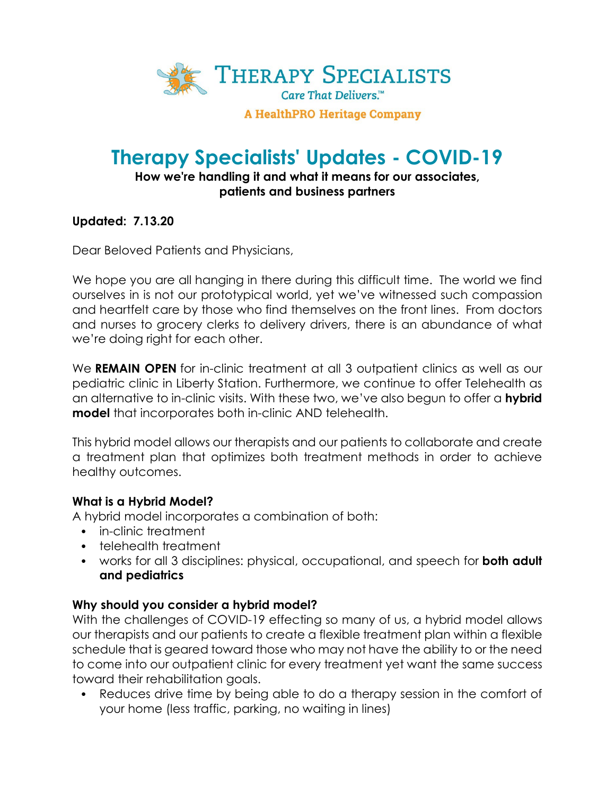

**A HealthPRO Heritage Company** 

# **Therapy Specialists' Updates - COVID-19**

## **How we're handling it and what it means for our associates, patients and business partners**

## **Updated: 7.13.20**

Dear Beloved Patients and Physicians,

We hope you are all hanging in there during this difficult time. The world we find ourselves in is not our prototypical world, yet we've witnessed such compassion and heartfelt care by those who find themselves on the front lines. From doctors and nurses to grocery clerks to delivery drivers, there is an abundance of what we're doing right for each other.

We **REMAIN OPEN** for in-clinic treatment at all 3 outpatient clinics as well as our pediatric clinic in Liberty Station. Furthermore, we continue to offer Telehealth as an alternative to in-clinic visits. With these two, we've also begun to offer a **hybrid model** that incorporates both in-clinic AND telehealth.

This hybrid model allows our therapists and our patients to collaborate and create a treatment plan that optimizes both treatment methods in order to achieve healthy outcomes.

#### **What is a Hybrid Model?**

A hybrid model incorporates a combination of both:

- in-clinic treatment
- telehealth treatment
- works for all 3 disciplines: physical, occupational, and speech for **both adult and pediatrics**

#### **Why should you consider a hybrid model?**

With the challenges of COVID-19 effecting so many of us, a hybrid model allows our therapists and our patients to create a flexible treatment plan within a flexible schedule that is geared toward those who may not have the ability to or the need to come into our outpatient clinic for every treatment yet want the same success toward their rehabilitation goals.

• Reduces drive time by being able to do a therapy session in the comfort of your home (less traffic, parking, no waiting in lines)